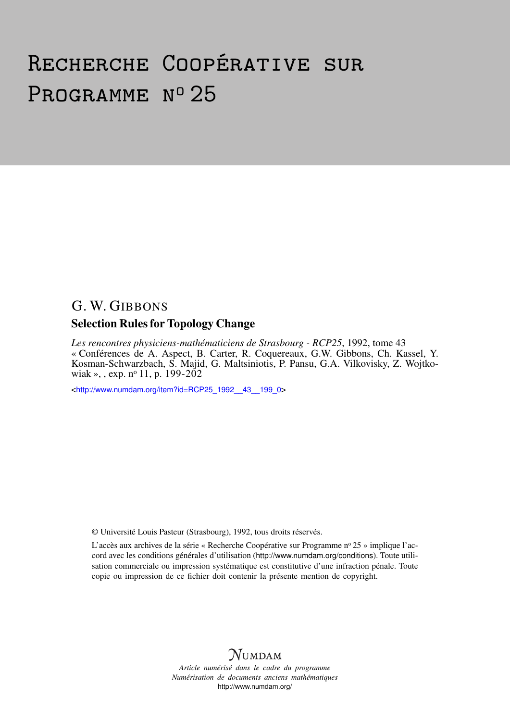# Recherche Coopérative sur PROGRAMME Nº 25

# G. W. GIBBONS

### Selection Rules for Topology Change

*Les rencontres physiciens-mathématiciens de Strasbourg - RCP25*, 1992, tome 43 « Conférences de A. Aspect, B. Carter, R. Coquereaux, G.W. Gibbons, Ch. Kassel, Y. Kosman-Schwarzbach, S. Majid, G. Maltsiniotis, P. Pansu, G.A. Vilkovisky, Z. Wojtkowiak », , exp.  $n^{\circ}$  11, p. 199-202

<[http://www.numdam.org/item?id=RCP25\\_1992\\_\\_43\\_\\_199\\_0](http://www.numdam.org/item?id=RCP25_1992__43__199_0)>

© Université Louis Pasteur (Strasbourg), 1992, tous droits réservés.

L'accès aux archives de la série « Recherche Coopérative sur Programme n° 25 » implique l'accord avec les conditions générales d'utilisation (<http://www.numdam.org/conditions>). Toute utilisation commerciale ou impression systématique est constitutive d'une infraction pénale. Toute copie ou impression de ce fichier doit contenir la présente mention de copyright.



*Article numérisé dans le cadre du programme Numérisation de documents anciens mathématiques* <http://www.numdam.org/>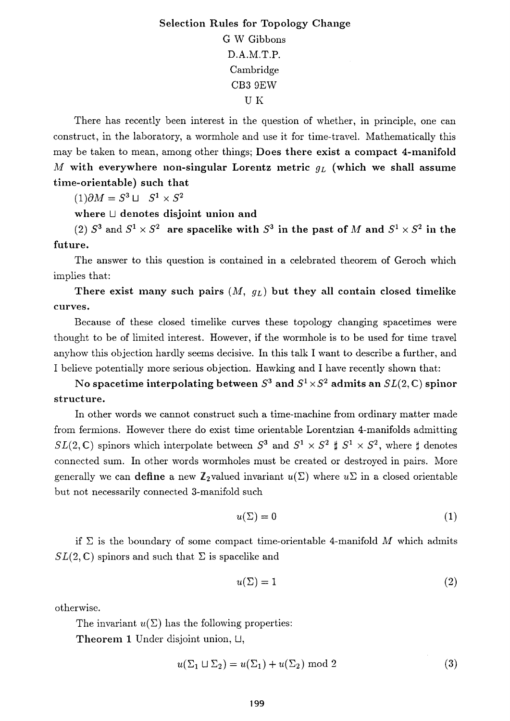## **Selection Rules for Topology Change**  G W Gibbons D.A.M.T.P. Cambridge CB3 9EW U Κ

There has recently been interest in the question of whether, in principle, one can construct, in the laboratory, a wormhole and use it for time-travel. Mathematically this may be taken to mean, among other things; **Does there exist a compact** 4-**manifold**  *M* **with everywhere non-singular Lorentz metric** *QL* **(which we shall assume time-orientable) such that** 

 $(1)\partial M = S^3 \sqcup S^1 \times S^2$ 

**where** U **denotes disjoint union and** 

 $(2)$   $S^3$  and  $S^1 \times S^2$  are spacelike with  $S^3$  in the past of M and  $S^1 \times S^2$  in the **future.** 

The answer to this question is contained in a celebrated theorem of Geroch which implies that:

**There exist many such pairs** (M, *gi)* **but they all contain closed timelike curves.** 

Because of these closed timelike curves these topology changing spacetimes were thought to be of limited interest. However, if the wormhole is to be used for time travel anyhow this objection hardly seems decisive. In this talk I want to describe a further, and I believe potentially more serious objection. Hawking and I have recently shown that:

No spacetime interpolating between  $S^3$  and  $S^1 \times S^2$  admits an  $SL(2,\mathbb{C})$  spinor **structure.** 

In other words we cannot construct such a time-machine from ordinary matter made from fermions. However there do exist time orientable Lorentzian 4-manifolds admitting  $SL(2,\mathbb{C})$  spinors which interpolate between  $S^3$  and  $S^1 \times S^2 \sharp S^1 \times S^2$ , where  $\sharp$  denotes connected sum. In other words wormholes must be created or destroyed in pairs. More generally we can define a new  $\mathbb{Z}_2$  valued invariant  $u(\Sigma)$  where  $u\Sigma$  in a closed orientable but not necessarily connected 3-manifold such

$$
u(\Sigma) = 0 \tag{1}
$$

if  $\Sigma$  is the boundary of some compact time-orientable 4-manifold *M* which admits  $SL(2,\mathbb{C})$  spinors and such that  $\Sigma$  is spacelike and

$$
u(\Sigma) = 1 \tag{2}
$$

otherwise.

The invariant  $u(\Sigma)$  has the following properties:

**Theorem 1** Under disjoint union, U,

$$
u(\Sigma_1 \sqcup \Sigma_2) = u(\Sigma_1) + u(\Sigma_2) \text{ mod } 2 \tag{3}
$$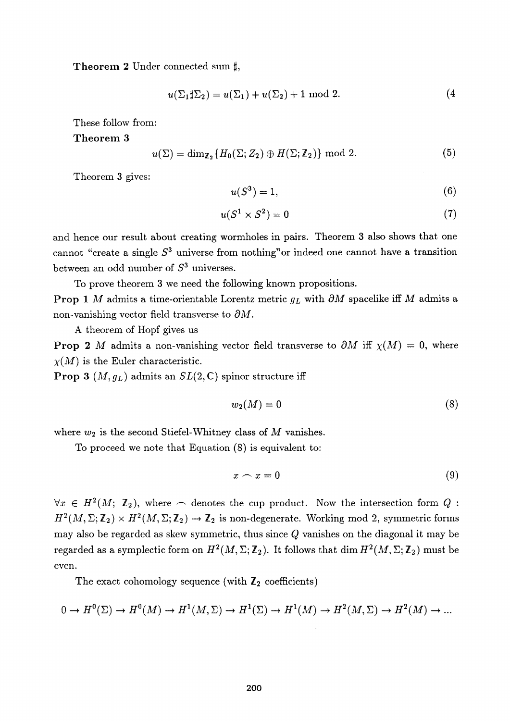**Theorem 2** Under connected sum  $\sharp$ ,

$$
u(\Sigma_1 \sharp \Sigma_2) = u(\Sigma_1) + u(\Sigma_2) + 1 \text{ mod } 2.
$$
 (4)

These follow from:

**Theorem 3** 

$$
u(\Sigma) = \dim_{\mathbb{Z}_2} \{ H_0(\Sigma; Z_2) \oplus H(\Sigma; \mathbb{Z}_2) \} \text{ mod } 2.
$$
 (5)

Theorem 3 gives:

$$
u(S^3) = 1,\t\t(6)
$$

$$
u(S^1 \times S^2) = 0 \tag{7}
$$

and hence our result about creating wormholes in pairs. Theorem 3 also shows that one cannot "create a single  $S<sup>3</sup>$  universe from nothing" or indeed one cannot have a transition between an odd number of *S<sup>3</sup>* universes.

To prove theorem 3 we need the following known propositions.

**Prop** 1 *M* admits a time-orientable Lorentz metric  $g_L$  with  $\partial M$  spacelike iff *M* admits a non-vanishing vector field transverse to *dM.* 

A theorem of Hopf gives us

**Prop 2** *M* admits a non-vanishing vector field transverse to  $\partial M$  iff  $\chi(M) = 0$ , where  $\chi(M)$  is the Euler characteristic.

**Prop 3**  $(M, g_L)$  admits an  $SL(2, \mathbb{C})$  spinor structure iff

$$
w_2(M) = 0 \tag{8}
$$

where *w2* is the second Stiefel-Whitney class of *M* vanishes.

To proceed we note that Equation (8) is equivalent to:

$$
x \frown x = 0 \tag{9}
$$

 $\forall x \in H^2(M; \mathbb{Z}_2)$ , where  $\frown$  denotes the cup product. Now the intersection form Q:  $H^2(M,\Sigma;\mathbb{Z}_2)\times H^2(M,\Sigma;\mathbb{Z}_2)\to \mathbb{Z}_2$  is non-degenerate. Working mod 2, symmetric forms may also be regarded as skew symmetric, thus since *Q* vanishes on the diagonal it may be regarded as a symplectic form on  $H^2(M,\Sigma; \mathbb{Z}_2)$ . It follows that  $\dim H^2(M,\Sigma; \mathbb{Z}_2)$  must be even.

The exact cohomology sequence (with  $\mathbb{Z}_2$  coefficients)

$$
0 \to H^0(\Sigma) \to H^0(M) \to H^1(M, \Sigma) \to H^1(\Sigma) \to H^1(M) \to H^2(M, \Sigma) \to H^2(M) \to \dots
$$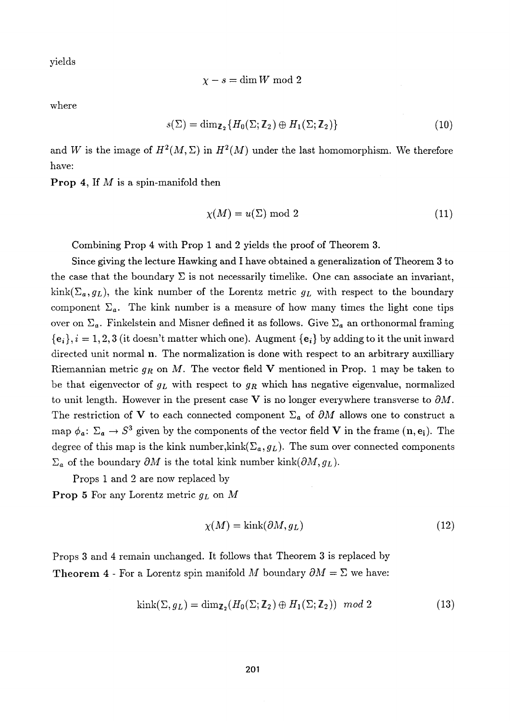yields

$$
\chi-s=\dim W \bmod 2
$$

where

$$
s(\Sigma) = \dim_{\mathbb{Z}_2} \{ H_0(\Sigma; \mathbb{Z}_2) \oplus H_1(\Sigma; \mathbb{Z}_2) \}
$$
 (10)

and W is the image of  $H^2(M,\Sigma)$  in  $H^2(M)$  under the last homomorphism. We therefore have:

**Prop** 4, If M is a spin-manifold then

$$
\chi(M) = u(\Sigma) \bmod 2 \tag{11}
$$

Combining Prop 4 with Prop 1 and 2 yields the proof of Theorem 3.

Since giving the lecture Hawking and I have obtained a generalization of Theorem 3 to the case that the boundary  $\Sigma$  is not necessarily timelike. One can associate an invariant,  $kink(\Sigma_a, g_L)$ , the kink number of the Lorentz metric  $g_L$  with respect to the boundary component  $\Sigma_a$ . The kink number is a measure of how many times the light cone tips over on  $\Sigma_a$ . Finkelstein and Misner defined it as follows. Give  $\Sigma_a$  an orthonormal framing  ${e_i}, i = 1,2,3$  (it doesn't matter which one). Augment  ${e_i}$  by adding to it the unit inward directed unit normal **n.** The normalization is done with respect to an arbitrary auxilliary Riemannian metric *gn* on M. The vector field **V** mentioned in Prop. 1 may be taken to be that eigenvector of  $g_L$  with respect to  $g_R$  which has negative eigenvalue, normalized to unit length. However in the present case  $V$  is no longer everywhere transverse to  $\partial M$ . The restriction of V to each connected component  $\Sigma_a$  of  $\partial M$  allows one to construct a map  $\phi_a: \Sigma_a \to S^3$  given by the components of the vector field V in the frame  $(\mathbf{n}, \mathbf{e_i})$ . The degree of this map is the kink number, kink( $\Sigma_a$ ,  $g_L$ ). The sum over connected components  $\Sigma_a$  of the boundary  $\partial M$  is the total kink number kink( $\partial M$ ,  $g_L$ ).

Props 1 and 2 are now replaced by

**Prop** 5 For any Lorentz metric *gL* on *M* 

$$
\chi(M) = \text{kink}(\partial M, g_L) \tag{12}
$$

Props 3 and 4 remain unchanged. It follows that Theorem 3 is replaced by **Theorem 4** - For a Lorentz spin manifold *M* boundary  $\partial M = \Sigma$  we have:

$$
kink(\Sigma, g_L) = \dim_{\mathbb{Z}_2}(H_0(\Sigma; \mathbb{Z}_2) \oplus H_1(\Sigma; \mathbb{Z}_2)) \mod 2 \tag{13}
$$